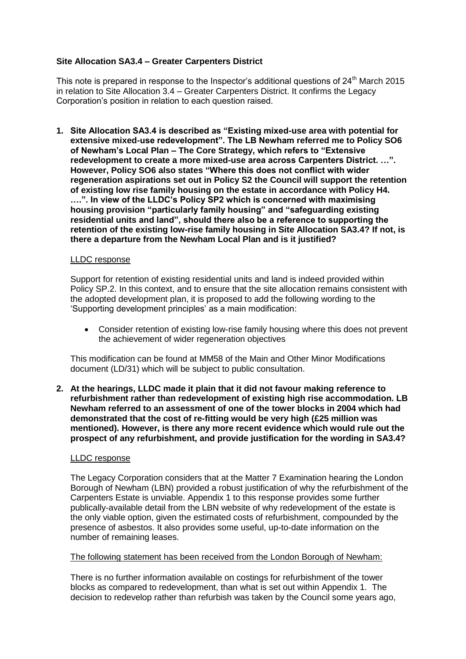## **Site Allocation SA3.4 – Greater Carpenters District**

This note is prepared in response to the Inspector's additional questions of  $24<sup>th</sup>$  March 2015 in relation to Site Allocation 3.4 – Greater Carpenters District. It confirms the Legacy Corporation's position in relation to each question raised.

**1. Site Allocation SA3.4 is described as "Existing mixed-use area with potential for extensive mixed-use redevelopment". The LB Newham referred me to Policy SO6 of Newham's Local Plan – The Core Strategy, which refers to "Extensive redevelopment to create a more mixed-use area across Carpenters District. …". However, Policy SO6 also states "Where this does not conflict with wider regeneration aspirations set out in Policy S2 the Council will support the retention of existing low rise family housing on the estate in accordance with Policy H4. ….". In view of the LLDC's Policy SP2 which is concerned with maximising housing provision "particularly family housing" and "safeguarding existing residential units and land", should there also be a reference to supporting the retention of the existing low-rise family housing in Site Allocation SA3.4? If not, is there a departure from the Newham Local Plan and is it justified?**

#### LLDC response

Support for retention of existing residential units and land is indeed provided within Policy SP.2. In this context, and to ensure that the site allocation remains consistent with the adopted development plan, it is proposed to add the following wording to the 'Supporting development principles' as a main modification:

 Consider retention of existing low-rise family housing where this does not prevent the achievement of wider regeneration objectives

This modification can be found at MM58 of the Main and Other Minor Modifications document (LD/31) which will be subject to public consultation.

**2. At the hearings, LLDC made it plain that it did not favour making reference to refurbishment rather than redevelopment of existing high rise accommodation. LB Newham referred to an assessment of one of the tower blocks in 2004 which had demonstrated that the cost of re-fitting would be very high (£25 million was mentioned). However, is there any more recent evidence which would rule out the prospect of any refurbishment, and provide justification for the wording in SA3.4?**

#### LLDC response

The Legacy Corporation considers that at the Matter 7 Examination hearing the London Borough of Newham (LBN) provided a robust justification of why the refurbishment of the Carpenters Estate is unviable. Appendix 1 to this response provides some further publically-available detail from the LBN website of why redevelopment of the estate is the only viable option, given the estimated costs of refurbishment, compounded by the presence of asbestos. It also provides some useful, up-to-date information on the number of remaining leases.

#### The following statement has been received from the London Borough of Newham:

There is no further information available on costings for refurbishment of the tower blocks as compared to redevelopment, than what is set out within Appendix 1. The decision to redevelop rather than refurbish was taken by the Council some years ago,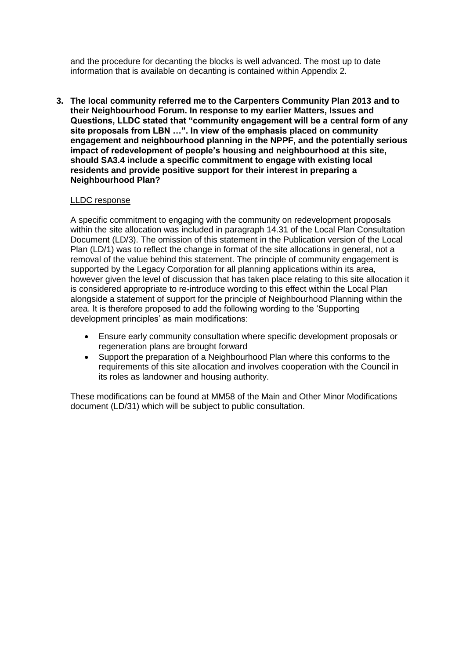and the procedure for decanting the blocks is well advanced. The most up to date information that is available on decanting is contained within Appendix 2.

**3. The local community referred me to the Carpenters Community Plan 2013 and to their Neighbourhood Forum. In response to my earlier Matters, Issues and Questions, LLDC stated that "community engagement will be a central form of any site proposals from LBN …". In view of the emphasis placed on community engagement and neighbourhood planning in the NPPF, and the potentially serious impact of redevelopment of people's housing and neighbourhood at this site, should SA3.4 include a specific commitment to engage with existing local residents and provide positive support for their interest in preparing a Neighbourhood Plan?**

#### LLDC response

A specific commitment to engaging with the community on redevelopment proposals within the site allocation was included in paragraph 14.31 of the Local Plan Consultation Document (LD/3). The omission of this statement in the Publication version of the Local Plan (LD/1) was to reflect the change in format of the site allocations in general, not a removal of the value behind this statement. The principle of community engagement is supported by the Legacy Corporation for all planning applications within its area, however given the level of discussion that has taken place relating to this site allocation it is considered appropriate to re-introduce wording to this effect within the Local Plan alongside a statement of support for the principle of Neighbourhood Planning within the area. It is therefore proposed to add the following wording to the 'Supporting development principles' as main modifications:

- Ensure early community consultation where specific development proposals or regeneration plans are brought forward
- Support the preparation of a Neighbourhood Plan where this conforms to the requirements of this site allocation and involves cooperation with the Council in its roles as landowner and housing authority.

These modifications can be found at MM58 of the Main and Other Minor Modifications document (LD/31) which will be subject to public consultation.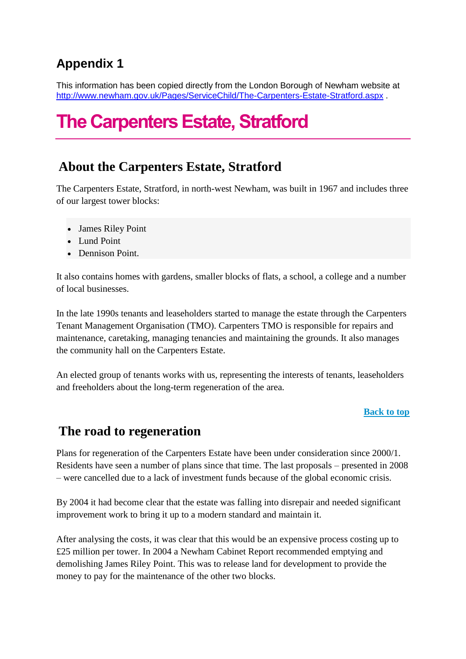# **Appendix 1**

This information has been copied directly from the London Borough of Newham website at <http://www.newham.gov.uk/Pages/ServiceChild/The-Carpenters-Estate-Stratford.aspx> .

# **The Carpenters Estate, Stratford**

## **About the Carpenters Estate, Stratford**

The Carpenters Estate, Stratford, in north-west Newham, was built in 1967 and includes three of our largest tower blocks:

- James Riley Point
- Lund Point
- Dennison Point.

It also contains homes with gardens, smaller blocks of flats, a school, a college and a number of local businesses.

In the late 1990s tenants and leaseholders started to manage the estate through the Carpenters Tenant Management Organisation (TMO). Carpenters TMO is responsible for repairs and maintenance, caretaking, managing tenancies and maintaining the grounds. It also manages the community hall on the Carpenters Estate.

An elected group of tenants works with us, representing the interests of tenants, leaseholders and freeholders about the long-term regeneration of the area.

## **[Back to top](http://www.newham.gov.uk/Pages/ServiceChild/The-Carpenters-Estate-Stratford.aspx)**

## **The road to regeneration**

Plans for regeneration of the Carpenters Estate have been under consideration since 2000/1. Residents have seen a number of plans since that time. The last proposals – presented in 2008 – were cancelled due to a lack of investment funds because of the global economic crisis.

By 2004 it had become clear that the estate was falling into disrepair and needed significant improvement work to bring it up to a modern standard and maintain it.

After analysing the costs, it was clear that this would be an expensive process costing up to £25 million per tower. In 2004 a Newham Cabinet Report recommended emptying and demolishing James Riley Point. This was to release land for development to provide the money to pay for the maintenance of the other two blocks.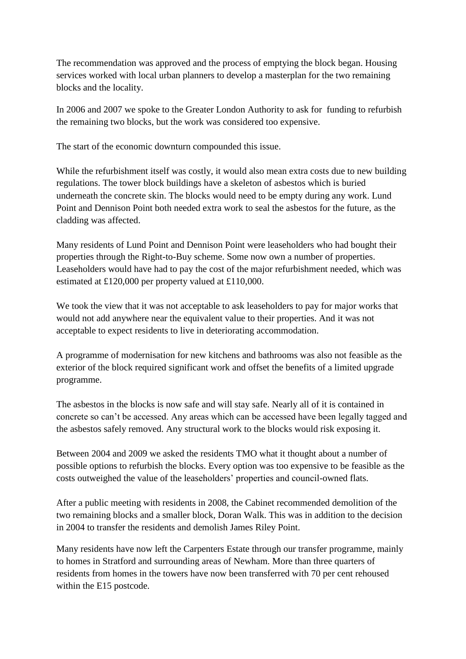The recommendation was approved and the process of emptying the block began. Housing services worked with local urban planners to develop a masterplan for the two remaining blocks and the locality.

In 2006 and 2007 we spoke to the Greater London Authority to ask for funding to refurbish the remaining two blocks, but the work was considered too expensive.

The start of the economic downturn compounded this issue.

While the refurbishment itself was costly, it would also mean extra costs due to new building regulations. The tower block buildings have a skeleton of asbestos which is buried underneath the concrete skin. The blocks would need to be empty during any work. Lund Point and Dennison Point both needed extra work to seal the asbestos for the future, as the cladding was affected.

Many residents of Lund Point and Dennison Point were leaseholders who had bought their properties through the Right-to-Buy scheme. Some now own a number of properties. Leaseholders would have had to pay the cost of the major refurbishment needed, which was estimated at £120,000 per property valued at £110,000.

We took the view that it was not acceptable to ask leaseholders to pay for major works that would not add anywhere near the equivalent value to their properties. And it was not acceptable to expect residents to live in deteriorating accommodation.

A programme of modernisation for new kitchens and bathrooms was also not feasible as the exterior of the block required significant work and offset the benefits of a limited upgrade programme.

The asbestos in the blocks is now safe and will stay safe. Nearly all of it is contained in concrete so can't be accessed. Any areas which can be accessed have been legally tagged and the asbestos safely removed. Any structural work to the blocks would risk exposing it.

Between 2004 and 2009 we asked the residents TMO what it thought about a number of possible options to refurbish the blocks. Every option was too expensive to be feasible as the costs outweighed the value of the leaseholders' properties and council-owned flats.

After a public meeting with residents in 2008, the Cabinet recommended demolition of the two remaining blocks and a smaller block, Doran Walk. This was in addition to the decision in 2004 to transfer the residents and demolish James Riley Point.

Many residents have now left the Carpenters Estate through our transfer programme, mainly to homes in Stratford and surrounding areas of Newham. More than three quarters of residents from homes in the towers have now been transferred with 70 per cent rehoused within the E15 postcode.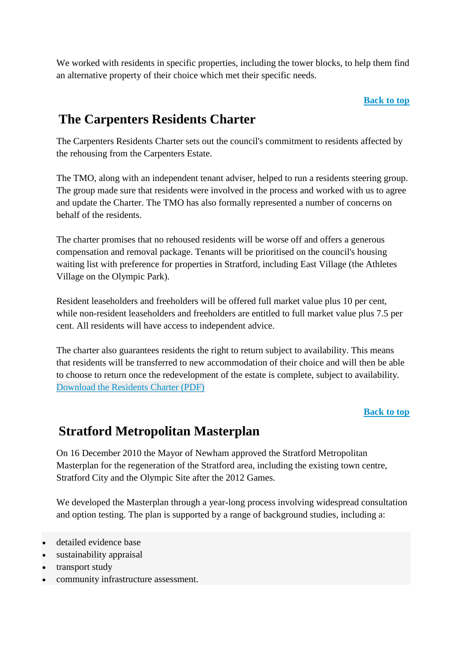We worked with residents in specific properties, including the tower blocks, to help them find an alternative property of their choice which met their specific needs.

### **[Back to top](http://www.newham.gov.uk/Pages/ServiceChild/The-Carpenters-Estate-Stratford.aspx)**

## **The Carpenters Residents Charter**

The Carpenters Residents Charter sets out the council's commitment to residents affected by the rehousing from the Carpenters Estate.

The TMO, along with an independent tenant adviser, helped to run a residents steering group. The group made sure that residents were involved in the process and worked with us to agree and update the Charter. The TMO has also formally represented a number of concerns on behalf of the residents.

The charter promises that no rehoused residents will be worse off and offers a generous compensation and removal package. Tenants will be prioritised on the council's housing waiting list with preference for properties in Stratford, including East Village (the Athletes Village on the Olympic Park).

Resident leaseholders and freeholders will be offered full market value plus 10 per cent, while non-resident leaseholders and freeholders are entitled to full market value plus 7.5 per cent. All residents will have access to independent advice.

The charter also guarantees residents the right to return subject to availability. This means that residents will be transferred to new accommodation of their choice and will then be able to choose to return once the redevelopment of the estate is complete, subject to availability. [Download the Residents Charter \(PDF\)](http://www.newham.gov.uk/Documents/Environment%20and%20planning/Carpenters%20Estate%20Residents%20Charter.pdf)

## **[Back to top](http://www.newham.gov.uk/Pages/ServiceChild/The-Carpenters-Estate-Stratford.aspx)**

## **Stratford Metropolitan Masterplan**

On 16 December 2010 the Mayor of Newham approved the Stratford Metropolitan Masterplan for the regeneration of the Stratford area, including the existing town centre, Stratford City and the Olympic Site after the 2012 Games.

We developed the Masterplan through a year-long process involving widespread consultation and option testing. The plan is supported by a range of background studies, including a:

- detailed evidence base
- sustainability appraisal
- transport study
- community infrastructure assessment.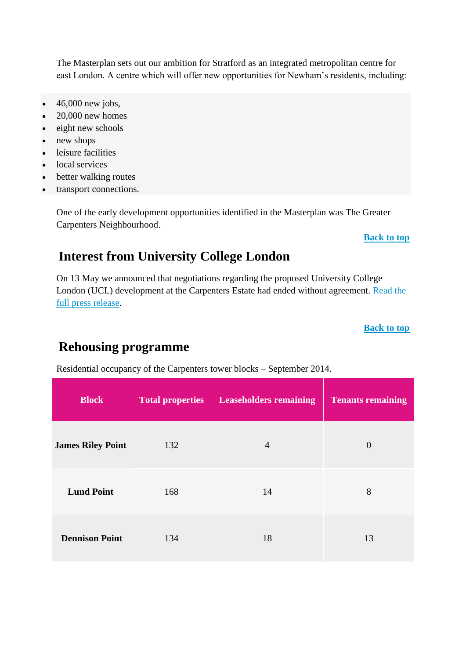The Masterplan sets out our ambition for Stratford as an integrated metropolitan centre for east London. A centre which will offer new opportunities for Newham's residents, including:

- 46,000 new jobs,
- $\bullet$  20,000 new homes
- eight new schools
- new shops
- leisure facilities
- local services
- better walking routes
- transport connections.

One of the early development opportunities identified in the Masterplan was The Greater Carpenters Neighbourhood.

#### **[Back to top](http://www.newham.gov.uk/Pages/ServiceChild/The-Carpenters-Estate-Stratford.aspx)**

## **Interest from University College London**

On 13 May we announced that negotiations regarding the proposed University College London (UCL) development at the Carpenters Estate had ended without agreement. [Read the](http://www.newham.gov.uk/Pages/News/Newham-announces-end-of-UCL-negotiations-for-Carpenters-Estate.aspx)  [full press release.](http://www.newham.gov.uk/Pages/News/Newham-announces-end-of-UCL-negotiations-for-Carpenters-Estate.aspx)

**[Back to top](http://www.newham.gov.uk/Pages/ServiceChild/The-Carpenters-Estate-Stratford.aspx)**

## **Rehousing programme**

Residential occupancy of the Carpenters tower blocks – September 2014.

| <b>Block</b>             | <b>Total properties</b> | <b>Leaseholders remaining</b> | <b>Tenants remaining</b> |  |
|--------------------------|-------------------------|-------------------------------|--------------------------|--|
| <b>James Riley Point</b> | 132                     | $\overline{4}$                | $\theta$                 |  |
| <b>Lund Point</b>        | 168                     | 14                            | 8                        |  |
| <b>Dennison Point</b>    | 134                     | 18                            | 13                       |  |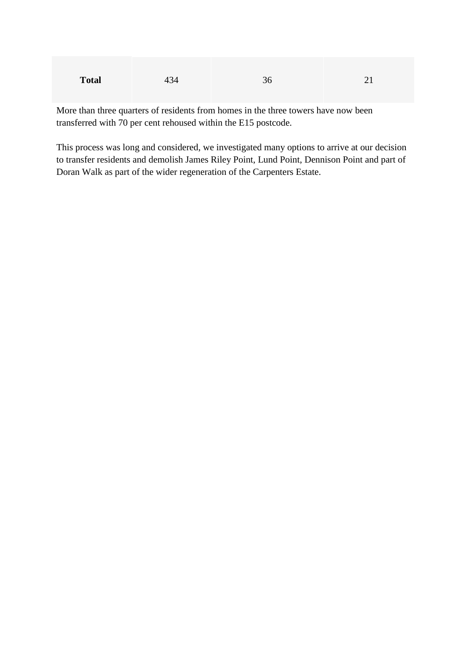| <b>Total</b> | 434 | าก<br>ັບ |  |
|--------------|-----|----------|--|
|--------------|-----|----------|--|

More than three quarters of residents from homes in the three towers have now been transferred with 70 per cent rehoused within the E15 postcode.

This process was long and considered, we investigated many options to arrive at our decision to transfer residents and demolish James Riley Point, Lund Point, Dennison Point and part of Doran Walk as part of the wider regeneration of the Carpenters Estate.